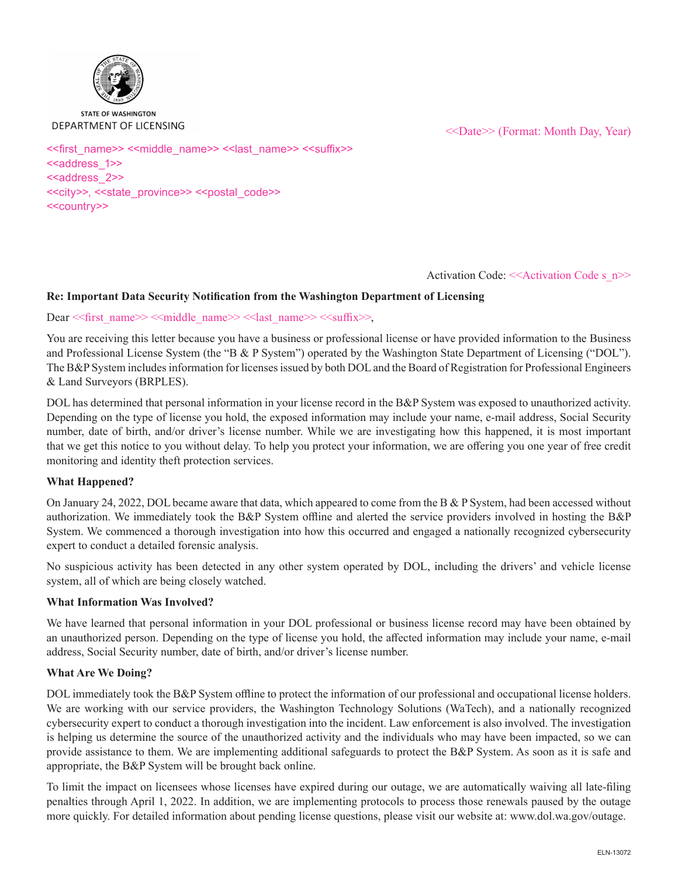

#### **STATE OF WASHINGTON** DEPARTMENT OF LICENSING

<<Date>> (Format: Month Day, Year)

<<first\_name>> <<middle\_name>> <<last\_name>> <<suffix>> <<address\_1>> <<address\_2>> <<city>>, <<state\_province>> <<postal\_code>> <<country>>

Activation Code: <<Activation Code s\_n>>

# **Re: Important Data Security Notification from the Washington Department of Licensing**

### Dear << first\_name>> <<middle\_name>> << last\_name>> << suffix>>,

You are receiving this letter because you have a business or professional license or have provided information to the Business and Professional License System (the "B & P System") operated by the Washington State Department of Licensing ("DOL"). The B&P System includes information for licenses issued by both DOL and the Board of Registration for Professional Engineers & Land Surveyors (BRPLES).

DOL has determined that personal information in your license record in the B&P System was exposed to unauthorized activity. Depending on the type of license you hold, the exposed information may include your name, e-mail address, Social Security number, date of birth, and/or driver's license number. While we are investigating how this happened, it is most important that we get this notice to you without delay. To help you protect your information, we are offering you one year of free credit monitoring and identity theft protection services.

## **What Happened?**

On January 24, 2022, DOL became aware that data, which appeared to come from the B & P System, had been accessed without authorization. We immediately took the B&P System offline and alerted the service providers involved in hosting the B&P System. We commenced a thorough investigation into how this occurred and engaged a nationally recognized cybersecurity expert to conduct a detailed forensic analysis.

No suspicious activity has been detected in any other system operated by DOL, including the drivers' and vehicle license system, all of which are being closely watched.

## **What Information Was Involved?**

We have learned that personal information in your DOL professional or business license record may have been obtained by an unauthorized person. Depending on the type of license you hold, the affected information may include your name, e-mail address, Social Security number, date of birth, and/or driver's license number.

## **What Are We Doing?**

DOL immediately took the B&P System offline to protect the information of our professional and occupational license holders. We are working with our service providers, the Washington Technology Solutions (WaTech), and a nationally recognized cybersecurity expert to conduct a thorough investigation into the incident. Law enforcement is also involved. The investigation is helping us determine the source of the unauthorized activity and the individuals who may have been impacted, so we can provide assistance to them. We are implementing additional safeguards to protect the B&P System. As soon as it is safe and appropriate, the B&P System will be brought back online.

To limit the impact on licensees whose licenses have expired during our outage, we are automatically waiving all late-filing penalties through April 1, 2022. In addition, we are implementing protocols to process those renewals paused by the outage more quickly. For detailed information about pending license questions, please visit our website at: www.dol.wa.gov/outage.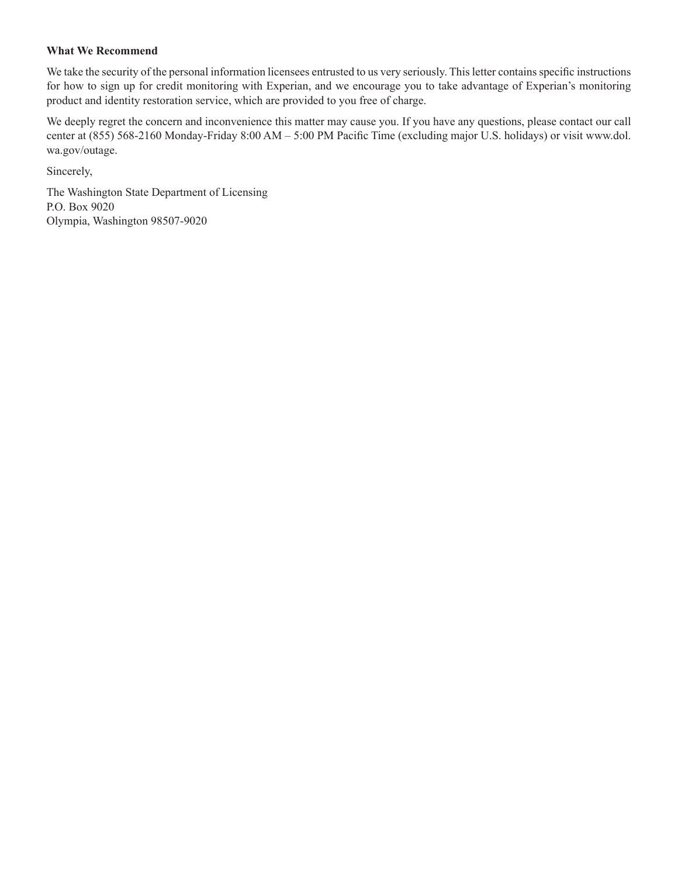### **What We Recommend**

We take the security of the personal information licensees entrusted to us very seriously. This letter contains specific instructions for how to sign up for credit monitoring with Experian, and we encourage you to take advantage of Experian's monitoring product and identity restoration service, which are provided to you free of charge.

We deeply regret the concern and inconvenience this matter may cause you. If you have any questions, please contact our call center at (855) 568-2160 Monday-Friday 8:00 AM – 5:00 PM Pacific Time (excluding major U.S. holidays) or visit www.dol. wa.gov/outage.

Sincerely,

The Washington State Department of Licensing P.O. Box 9020 Olympia, Washington 98507-9020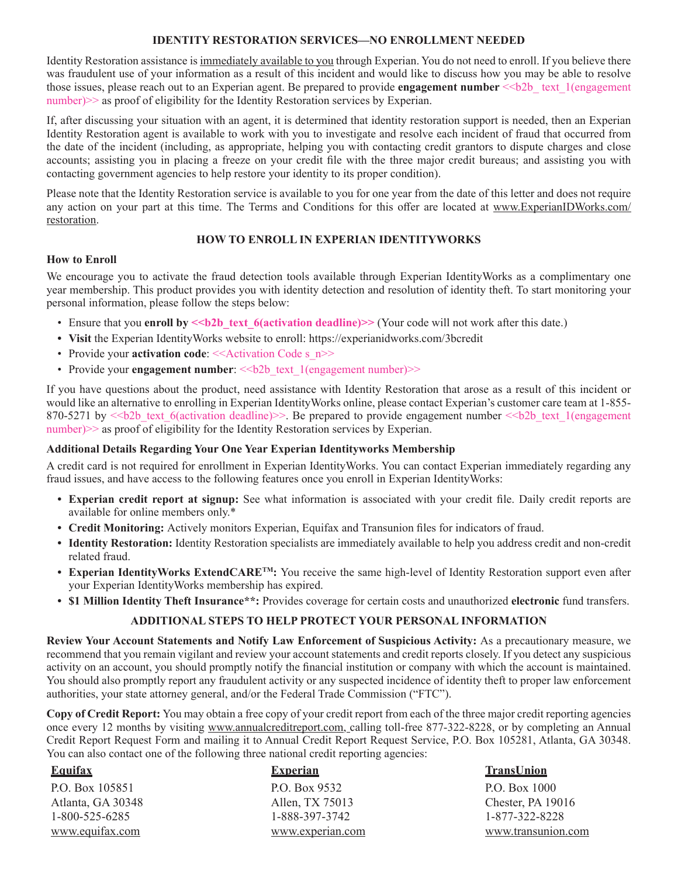# **IDENTITY RESTORATION SERVICES—NO ENROLLMENT NEEDED**

Identity Restoration assistance is immediately available to you through Experian. You do not need to enroll. If you believe there was fraudulent use of your information as a result of this incident and would like to discuss how you may be able to resolve those issues, please reach out to an Experian agent. Be prepared to provide **engagement number**  $\leq b2b$  text 1(engagement number) $\gg$  as proof of eligibility for the Identity Restoration services by Experian.

If, after discussing your situation with an agent, it is determined that identity restoration support is needed, then an Experian Identity Restoration agent is available to work with you to investigate and resolve each incident of fraud that occurred from the date of the incident (including, as appropriate, helping you with contacting credit grantors to dispute charges and close accounts; assisting you in placing a freeze on your credit file with the three major credit bureaus; and assisting you with contacting government agencies to help restore your identity to its proper condition).

Please note that the Identity Restoration service is available to you for one year from the date of this letter and does not require any action on your part at this time. The Terms and Conditions for this offer are located at www.ExperianIDWorks.com/ restoration.

## **HOW TO ENROLL IN EXPERIAN IDENTITYWORKS**

## **How to Enroll**

We encourage you to activate the fraud detection tools available through Experian IdentityWorks as a complimentary one year membership. This product provides you with identity detection and resolution of identity theft. To start monitoring your personal information, please follow the steps below:

- Ensure that you **enroll by**  $\le b2b$  text 6(activation deadline)>> (Your code will not work after this date.)
- **• Visit** the Experian IdentityWorks website to enroll: https://experianidworks.com/3bcredit
- Provide your **activation code**: <<Activation Code s n>>
- Provide your **engagement number:**  $\le b2b$  text 1(engagement number)>>

If you have questions about the product, need assistance with Identity Restoration that arose as a result of this incident or would like an alternative to enrolling in Experian IdentityWorks online, please contact Experian's customer care team at 1-855- 870-5271 by  $\leq b2b$  text 6(activation deadline) $\geq$ . Be prepared to provide engagement number  $\leq b2b$  text 1(engagement) number)>> as proof of eligibility for the Identity Restoration services by Experian.

## **Additional Details Regarding Your One Year Experian Identityworks Membership**

A credit card is not required for enrollment in Experian IdentityWorks. You can contact Experian immediately regarding any fraud issues, and have access to the following features once you enroll in Experian IdentityWorks:

- **• Experian credit report at signup:** See what information is associated with your credit file. Daily credit reports are available for online members only.\*
- **• Credit Monitoring:** Actively monitors Experian, Equifax and Transunion files for indicators of fraud.
- **• Identity Restoration:** Identity Restoration specialists are immediately available to help you address credit and non-credit related fraud.
- **• Experian IdentityWorks ExtendCARETM:** You receive the same high-level of Identity Restoration support even after your Experian IdentityWorks membership has expired.
- **• \$1 Million Identity Theft Insurance\*\*:** Provides coverage for certain costs and unauthorized **electronic** fund transfers.

## **ADDITIONAL STEPS TO HELP PROTECT YOUR PERSONAL INFORMATION**

**Review Your Account Statements and Notify Law Enforcement of Suspicious Activity:** As a precautionary measure, we recommend that you remain vigilant and review your account statements and credit reports closely. If you detect any suspicious activity on an account, you should promptly notify the financial institution or company with which the account is maintained. You should also promptly report any fraudulent activity or any suspected incidence of identity theft to proper law enforcement authorities, your state attorney general, and/or the Federal Trade Commission ("FTC").

**Copy of Credit Report:** You may obtain a free copy of your credit report from each of the three major credit reporting agencies once every 12 months by visiting www.annualcreditreport.com, calling toll-free 877-322-8228, or by completing an Annual Credit Report Request Form and mailing it to Annual Credit Report Request Service, P.O. Box 105281, Atlanta, GA 30348. You can also contact one of the following three national credit reporting agencies:

| <b>Equifax</b>    | <b>Experian</b>  | <b>TransUnion</b>  |
|-------------------|------------------|--------------------|
| P.O. Box 105851   | P.O. Box 9532    | P.O. Box 1000      |
| Atlanta, GA 30348 | Allen, TX 75013  | Chester, PA 19016  |
| 1-800-525-6285    | 1-888-397-3742   | 1-877-322-8228     |
| www.equifax.com   | www.experian.com | www.transunion.com |